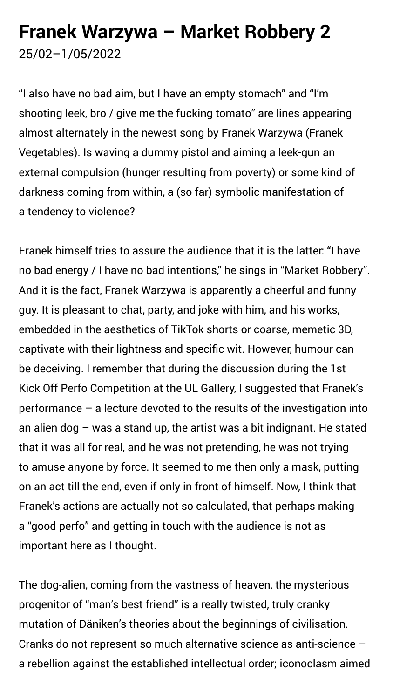## **Franek Warzywa – Market Robbery 2** 25/02–1/05/2022

"I also have no bad aim, but I have an empty stomach" and "I'm shooting leek, bro / give me the fucking tomato" are lines appearing almost alternately in the newest song by Franek Warzywa (Franek Vegetables). Is waving a dummy pistol and aiming a leek-gun an external compulsion (hunger resulting from poverty) or some kind of darkness coming from within, a (so far) symbolic manifestation of a tendency to violence?

Franek himself tries to assure the audience that it is the latter: "I have no bad energy / I have no bad intentions," he sings in "Market Robbery". And it is the fact, Franek Warzywa is apparently a cheerful and funny guy. It is pleasant to chat, party, and joke with him, and his works, embedded in the aesthetics of TikTok shorts or coarse, memetic 3D, captivate with their lightness and specific wit. However, humour can be deceiving. I remember that during the discussion during the 1st Kick Off Perfo Competition at the UL Gallery, I suggested that Franek's performance – a lecture devoted to the results of the investigation into an alien dog – was a stand up, the artist was a bit indignant. He stated that it was all for real, and he was not pretending, he was not trying to amuse anyone by force. It seemed to me then only a mask, putting on an act till the end, even if only in front of himself. Now, I think that Franek's actions are actually not so calculated, that perhaps making a "good perfo" and getting in touch with the audience is not as important here as I thought.

The dog-alien, coming from the vastness of heaven, the mysterious progenitor of "man's best friend" is a really twisted, truly cranky mutation of Däniken's theories about the beginnings of civilisation. Cranks do not represent so much alternative science as anti-science – a rebellion against the established intellectual order; iconoclasm aimed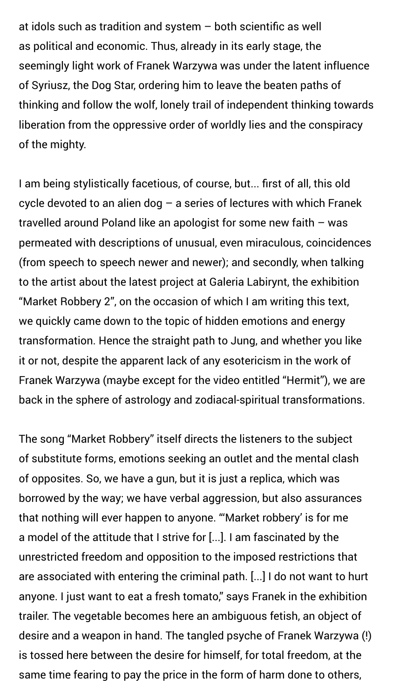at idols such as tradition and system – both scientific as well as political and economic. Thus, already in its early stage, the seemingly light work of Franek Warzywa was under the latent influence of Syriusz, the Dog Star, ordering him to leave the beaten paths of thinking and follow the wolf, lonely trail of independent thinking towards liberation from the oppressive order of worldly lies and the conspiracy of the mighty.

I am being stylistically facetious, of course, but... first of all, this old cycle devoted to an alien dog  $-$  a series of lectures with which Franek travelled around Poland like an apologist for some new faith – was permeated with descriptions of unusual, even miraculous, coincidences (from speech to speech newer and newer); and secondly, when talking to the artist about the latest project at Galeria Labirynt, the exhibition "Market Robbery 2", on the occasion of which I am writing this text, we quickly came down to the topic of hidden emotions and energy transformation. Hence the straight path to Jung, and whether you like it or not, despite the apparent lack of any esotericism in the work of Franek Warzywa (maybe except for the video entitled "Hermit"), we are back in the sphere of astrology and zodiacal-spiritual transformations.

The song "Market Robbery" itself directs the listeners to the subject of substitute forms, emotions seeking an outlet and the mental clash

of opposites. So, we have a gun, but it is just a replica, which was borrowed by the way; we have verbal aggression, but also assurances that nothing will ever happen to anyone. "'Market robbery' is for me a model of the attitude that I strive for [...]. I am fascinated by the unrestricted freedom and opposition to the imposed restrictions that are associated with entering the criminal path. [...] I do not want to hurt anyone. I just want to eat a fresh tomato," says Franek in the exhibition trailer. The vegetable becomes here an ambiguous fetish, an object of desire and a weapon in hand. The tangled psyche of Franek Warzywa (!) is tossed here between the desire for himself, for total freedom, at the same time fearing to pay the price in the form of harm done to others,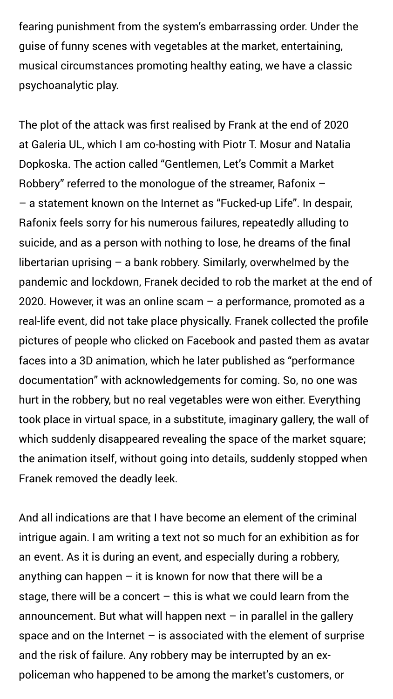fearing punishment from the system's embarrassing order. Under the guise of funny scenes with vegetables at the market, entertaining, musical circumstances promoting healthy eating, we have a classic psychoanalytic play.

The plot of the attack was first realised by Frank at the end of 2020 at Galeria UL, which I am co-hosting with Piotr T. Mosur and Natalia Dopkoska. The action called "Gentlemen, Let's Commit a Market Robbery" referred to the monologue of the streamer, Rafonix – – a statement known on the Internet as "Fucked-up Life". In despair, Rafonix feels sorry for his numerous failures, repeatedly alluding to suicide, and as a person with nothing to lose, he dreams of the final libertarian uprising – a bank robbery. Similarly, overwhelmed by the pandemic and lockdown, Franek decided to rob the market at the end of 2020. However, it was an online scam – a performance, promoted as a real-life event, did not take place physically. Franek collected the profile pictures of people who clicked on Facebook and pasted them as avatar faces into a 3D animation, which he later published as "performance documentation" with acknowledgements for coming. So, no one was hurt in the robbery, but no real vegetables were won either. Everything took place in virtual space, in a substitute, imaginary gallery, the wall of which suddenly disappeared revealing the space of the market square; the animation itself, without going into details, suddenly stopped when

Franek removed the deadly leek.

And all indications are that I have become an element of the criminal intrigue again. I am writing a text not so much for an exhibition as for an event. As it is during an event, and especially during a robbery, anything can happen  $-$  it is known for now that there will be a stage, there will be a concert  $-$  this is what we could learn from the announcement. But what will happen next  $-$  in parallel in the gallery space and on the Internet  $-$  is associated with the element of surprise and the risk of failure. Any robbery may be interrupted by an expoliceman who happened to be among the market's customers, or